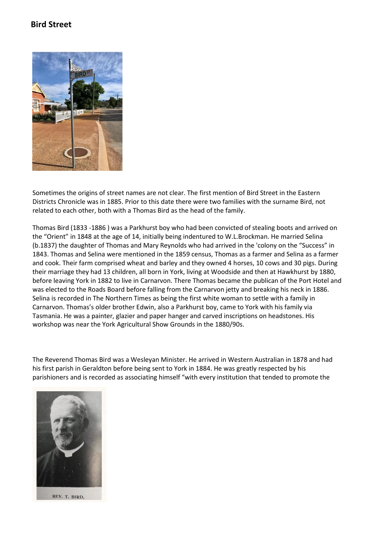## **Bird Street**



Sometimes the origins of street names are not clear. The first mention of Bird Street in the Eastern Districts Chronicle was in 1885. Prior to this date there were two families with the surname Bird, not related to each other, both with a Thomas Bird as the head of the family.

Thomas Bird (1833 -1886 ) was a Parkhurst boy who had been convicted of stealing boots and arrived on the "Orient" in 1848 at the age of 14, initially being indentured to W.L.Brockman. He married Selina (b.1837) the daughter of Thomas and Mary Reynolds who had arrived in the 'colony on the "Success" in 1843. Thomas and Selina were mentioned in the 1859 census, Thomas as a farmer and Selina as a farmer and cook. Their farm comprised wheat and barley and they owned 4 horses, 10 cows and 30 pigs. During their marriage they had 13 children, all born in York, living at Woodside and then at Hawkhurst by 1880, before leaving York in 1882 to live in Carnarvon. There Thomas became the publican of the Port Hotel and was elected to the Roads Board before falling from the Carnarvon jetty and breaking his neck in 1886. Selina is recorded in The Northern Times as being the first white woman to settle with a family in Carnarvon. Thomas's older brother Edwin, also a Parkhurst boy, came to York with his family via Tasmania. He was a painter, glazier and paper hanger and carved inscriptions on headstones. His workshop was near the York Agricultural Show Grounds in the 1880/90s.

The Reverend Thomas Bird was a Wesleyan Minister. He arrived in Western Australian in 1878 and had his first parish in Geraldton before being sent to York in 1884. He was greatly respected by his parishioners and is recorded as associating himself "with every institution that tended to promote the



REV. T. BIRD,